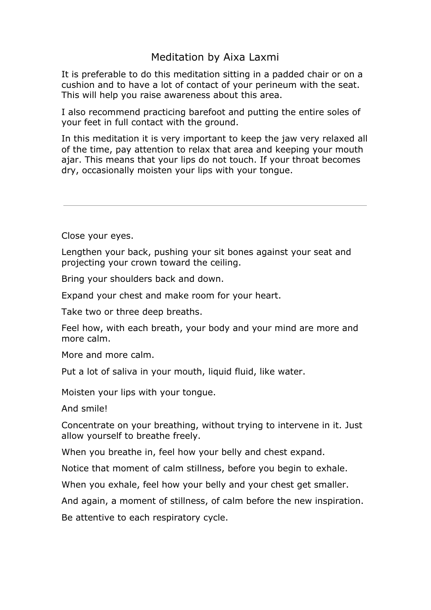## Meditation by Aixa Laxmi

It is preferable to do this meditation sitting in a padded chair or on a cushion and to have a lot of contact of your perineum with the seat. This will help you raise awareness about this area.

I also recommend practicing barefoot and putting the entire soles of your feet in full contact with the ground.

In this meditation it is very important to keep the jaw very relaxed all of the time, pay attention to relax that area and keeping your mouth ajar. This means that your lips do not touch. If your throat becomes dry, occasionally moisten your lips with your tongue.

Close your eyes.

Lengthen your back, pushing your sit bones against your seat and projecting your crown toward the ceiling.

Bring your shoulders back and down.

Expand your chest and make room for your heart.

Take two or three deep breaths.

Feel how, with each breath, your body and your mind are more and more calm.

More and more calm.

Put a lot of saliva in your mouth, liquid fluid, like water.

Moisten your lips with your tongue.

And smile!

Concentrate on your breathing, without trying to intervene in it. Just allow yourself to breathe freely.

When you breathe in, feel how your belly and chest expand.

Notice that moment of calm stillness, before you begin to exhale.

When you exhale, feel how your belly and your chest get smaller.

And again, a moment of stillness, of calm before the new inspiration.

Be attentive to each respiratory cycle.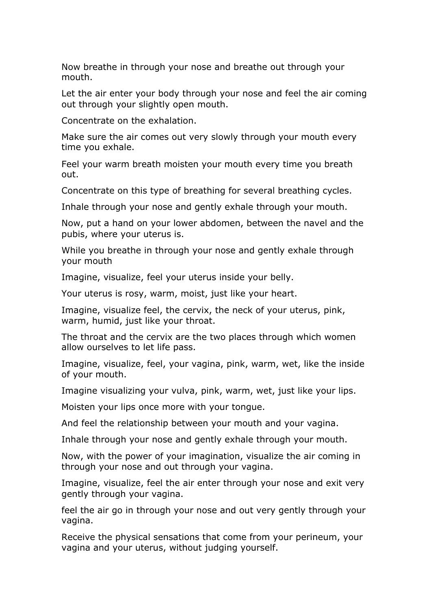Now breathe in through your nose and breathe out through your mouth.

Let the air enter your body through your nose and feel the air coming out through your slightly open mouth.

Concentrate on the exhalation.

Make sure the air comes out very slowly through your mouth every time you exhale.

Feel your warm breath moisten your mouth every time you breath out.

Concentrate on this type of breathing for several breathing cycles.

Inhale through your nose and gently exhale through your mouth.

Now, put a hand on your lower abdomen, between the navel and the pubis, where your uterus is.

While you breathe in through your nose and gently exhale through your mouth

Imagine, visualize, feel your uterus inside your belly.

Your uterus is rosy, warm, moist, just like your heart.

Imagine, visualize feel, the cervix, the neck of your uterus, pink, warm, humid, just like your throat.

The throat and the cervix are the two places through which women allow ourselves to let life pass.

Imagine, visualize, feel, your vagina, pink, warm, wet, like the inside of your mouth.

Imagine visualizing your vulva, pink, warm, wet, just like your lips.

Moisten your lips once more with your tongue.

And feel the relationship between your mouth and your vagina.

Inhale through your nose and gently exhale through your mouth.

Now, with the power of your imagination, visualize the air coming in through your nose and out through your vagina.

Imagine, visualize, feel the air enter through your nose and exit very gently through your vagina.

feel the air go in through your nose and out very gently through your vagina.

Receive the physical sensations that come from your perineum, your vagina and your uterus, without judging yourself.